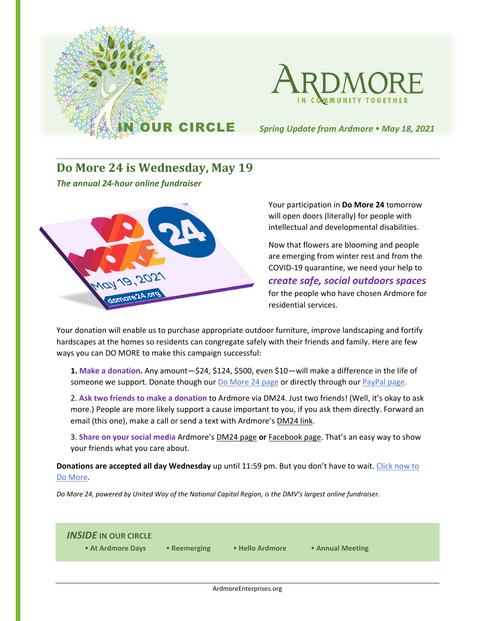

### **Do More 24 is Wednesday, May 19**

*The annual 24-hour online fundraiser*



Your participation in **Do More 24** tomorrow will open doors (literally) for people with intellectual and developmental disabilities.

Now that flowers are blooming and people are emerging from winter rest and from the COVID-19 quarantine, we need your help to *create safe, social outdoors spaces*

for the people who have chosen Ardmore for residential services.

Your donation will enable us to purchase appropriate outdoor furniture, improve landscaping and fortify hardscapes at the homes so residents can congregate safely with their friends and family. Here are few ways you can DO MORE to make this campaign successful:

**1. Make a donation.** Any amount—\$24, \$124, \$500, even \$10—will make a difference in the life of someone we support. Donate though ou[r Do More 24 page](https://www.domore24.org/index.php?section=organizations&action=newDonation_org&fwID=7577) or directly through our [PayPal page.](https://www.paypal.com/donate/?hosted_button_id=VQ42UWR43QSH2)

2. **Ask two friends to make a donation** to Ardmore via DM24. Just two friends! (Well, it's okay to ask more.) People are more likely support a cause important to you, if you ask them directly. Forward an email (this one), make a call or send a text with Ardmore'[s DM24 link.](https://www.domore24.org/index.php?section=organizations&action=newDonation_org&fwID=7577)

3. **Share on your social media** Ardmore's [DM24 page](https://www.domore24.org/index.php?section=organizations&action=newDonation_org&fwID=7577) **or** [Facebook page.](https://www.facebook.com/InCommunityTogether/) That's an easy way to show your friends what you care about.

**Donations are accepted all day Wednesday** up until 11:59 pm. But you don't have to wait. [Click now to](https://www.domore24.org/index.php?section=organizations&action=newDonation_org&fwID=7577)  [Do More.](https://www.domore24.org/index.php?section=organizations&action=newDonation_org&fwID=7577)

*Do More 24, powered by United Way of the National Capital Region, is the DMV's largest online fundraiser.*

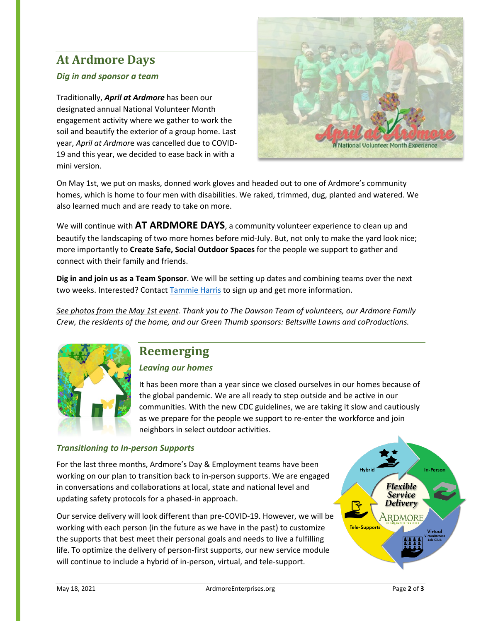# **At Ardmore Days**

#### *Dig in and sponsor a team*

Traditionally, *April at Ardmore* has been our designated annual National Volunteer Month engagement activity where we gather to work the soil and beautify the exterior of a group home. Last year, *April at Ardmor*e was cancelled due to COVID-19 and this year, we decided to ease back in with a mini version.



On May 1st, we put on masks, donned work gloves and headed out to one of Ardmore's community homes, which is home to four men with disabilities. We raked, trimmed, dug, planted and watered. We also learned much and are ready to take on more.

We will continue with **AT ARDMORE DAYS**, a community volunteer experience to clean up and beautify the landscaping of two more homes before mid-July. But, not only to make the yard look nice; more importantly to **Create Safe, Social Outdoor Spaces** for the people we support to gather and connect with their family and friends.

**Dig in and join us as a Team Sponsor**. We will be setting up dates and combining teams over the next two weeks. Interested? Contact [Tammie Harris](mailto:tharris@ardmoreenterprises.org) to sign up and get more information.

*See photos [from the May 1st event.](https://www.youtube.com/watch?v=LjAPOZDSqtI) Thank you to The Dawson Team of volunteers, our Ardmore Family Crew, the residents of the home, and our Green Thumb sponsors: Beltsville Lawns and coProductions.*



# **Reemerging**

#### *Leaving our homes*

It has been more than a year since we closed ourselves in our homes because of the global pandemic. We are all ready to step outside and be active in our communities. With the new CDC guidelines, we are taking it slow and cautiously as we prepare for the people we support to re-enter the workforce and join neighbors in select outdoor activities.

#### *Transitioning to In-person Supports*

For the last three months, Ardmore's Day & Employment teams have been working on our plan to transition back to in-person supports. We are engaged in conversations and collaborations at local, state and national level and updating safety protocols for a phased-in approach.

Our service delivery will look different than pre-COVID-19. However, we will be working with each person (in the future as we have in the past) to customize the supports that best meet their personal goals and needs to live a fulfilling life. To optimize the delivery of person-first supports, our new service module will continue to include a hybrid of in-person, virtual, and tele-support.